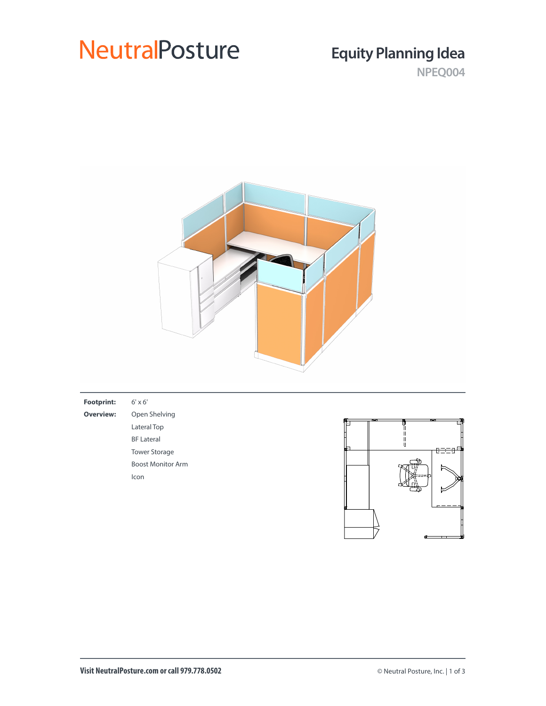# **NeutralPosture**

## **Equity Planning Idea**

**NPEQ004**



| <b>Footprint:</b> | $6' \times 6'$           |             |           |
|-------------------|--------------------------|-------------|-----------|
| <b>Overview:</b>  | Open Shelving            | ञ्च<br>ष्टर |           |
|                   | Lateral Top              |             |           |
|                   | <b>BF Lateral</b>        |             |           |
|                   | <b>Tower Storage</b>     |             | 6 - - - 1 |
|                   | <b>Boost Monitor Arm</b> |             |           |
|                   | Icon                     |             |           |
|                   |                          |             |           |
|                   |                          |             |           |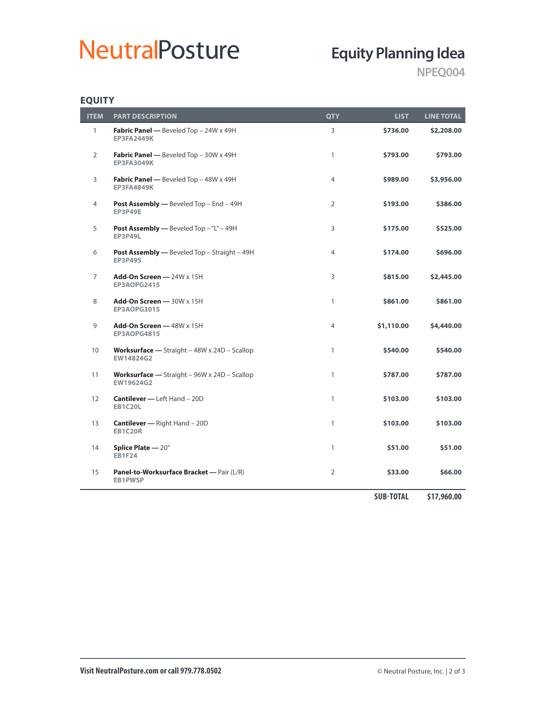# **NeutralPosture**

## **Equity Planning Idea**

**NPEQ004**

### **EQUITY**

 $\overline{a}$ 

| <b>ITEM</b>    | <b>PART DESCRIPTION</b>                                        | <b>QTY</b>     | LIST       | <b>LINE TOTAL</b> |
|----------------|----------------------------------------------------------------|----------------|------------|-------------------|
| $\mathbf{1}$   | Fabric Panel - Beveled Top - 24W x 49H<br><b>EP3FA2449K</b>    | 3              | \$736.00   | \$2,208.00        |
| $\overline{2}$ | Fabric Panel - Beveled Top - 30W x 49H<br><b>EP3FA3049K</b>    | 1              | \$793.00   | \$793.00          |
| 3              | Fabric Panel - Beveled Top - 48W x 49H<br><b>EP3FA4849K</b>    | $\overline{4}$ | \$989.00   | \$3,956.00        |
| 4              | Post Assembly - Beveled Top - End - 49H<br><b>EP3P49E</b>      | $\overline{2}$ | \$193.00   | \$386.00          |
| 5              | Post Assembly - Beveled Top - "L" - 49H<br><b>EP3P49L</b>      | 3              | \$175.00   | \$525.00          |
| 6              | Post Assembly - Beveled Top - Straight - 49H<br><b>EP3P49S</b> | $\overline{4}$ | \$174.00   | \$696.00          |
| $\overline{7}$ | Add-On Screen - 24W x 15H<br>EP3AOPG2415                       | 3              | \$815.00   | \$2,445.00        |
| 8              | Add-On Screen $-$ 30W $\times$ 15H<br><b>EP3AOPG3015</b>       | $\mathbf{1}$   | \$861.00   | \$861.00          |
| 9              | Add-On Screen - 48W x 15H<br>EP3AOPG4815                       | $\overline{4}$ | \$1,110.00 | \$4,440.00        |
| 10             | Worksurface - Straight - 48W x 24D - Scallop<br>EW14824G2      | $\mathbf{1}$   | \$540.00   | \$540.00          |
| 11             | Worksurface - Straight - 96W x 24D - Scallop<br>EW19624G2      | $\mathbf{1}$   | \$787.00   | \$787.00          |
| 12             | <b>Cantilever - Left Hand - 20D</b><br><b>EB1C20L</b>          | $\mathbf{1}$   | \$103.00   | \$103.00          |
| 13             | <b>Cantilever</b> - Right Hand - 20D<br><b>EB1C20R</b>         | $\mathbf{1}$   | \$103.00   | \$103.00          |
| 14             | Splice Plate - 20"<br><b>EB1F24</b>                            | $\mathbf{1}$   | \$51.00    | \$51.00           |
| 15             | Panel-to-Worksurface Bracket - Pair (L/R)<br><b>EB1PWSP</b>    | $\overline{2}$ | \$33.00    | \$66.00           |

**SUB-TOTAL \$17,960.00**